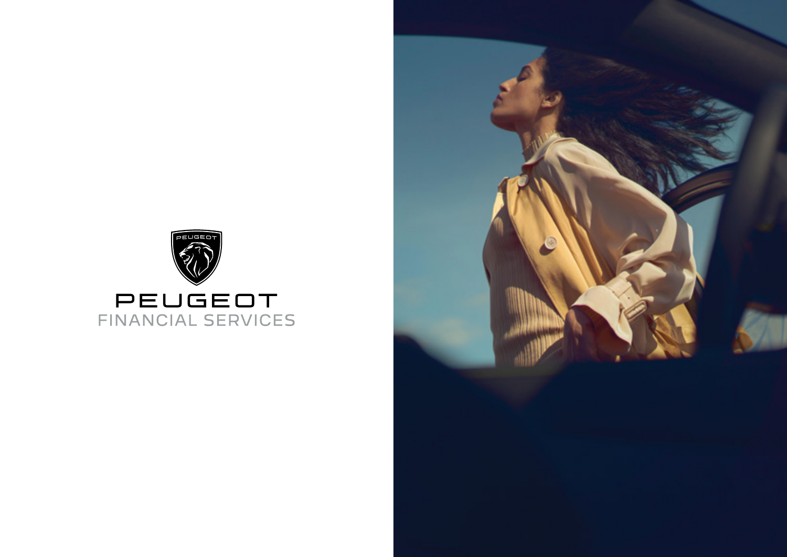

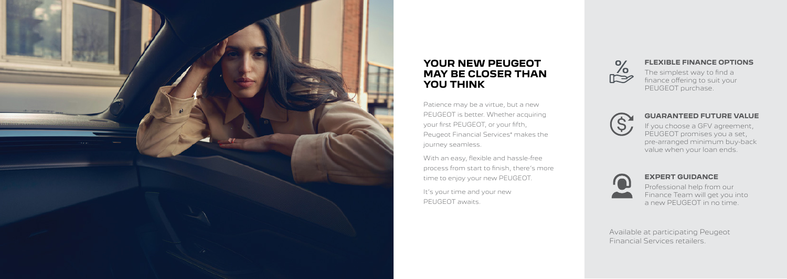

# **YOUR NEW PEUGEOT MAY BE CLOSER THAN YOU THINK**

Patience may be a virtue, but a new PEUGEOT is better. Whether acquiring your first PEUGEOT, or your fifth, Peugeot Financial Services\* makes the journey seamless.

With an easy, flexible and hassle-free process from start to finish, there's more time to enjoy your new PEUGEOT.

It's your time and your new PEUGEOT awaits.



# **FLEXIBLE FINANCE OPTIONS**

The simplest way to find a finance offering to suit your PEUGEOT purchase.



# **GUARANTEED FUTURE VALUE**

If you choose a GFV agreement, PEUGEOT promises you a set, pre-arranged minimum buy-back value when your loan ends.



# **EXPERT GUIDANCE**

Professional help from our Finance Team will get you into a new PEUGEOT in no time.

Available at participating Peugeot Financial Services retailers.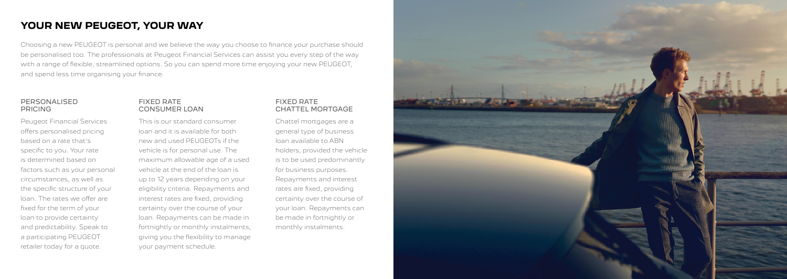# **YOUR NEW PEUGEOT, YOUR WAY**

Choosing a new PEUGEOT is personal and we believe the way you choose to finance your purchase should be personalised too. The professionals at Peugeot Financial Services can assist you every step of the way with a range of flexible, streamlined options. So you can spend more time enjoying your new PEUGEOT, and spend less time organising your finance.

### PERSONALISED PRICING

Peugeot Financial Services offers personalised pricing based on a rate that's specific to you. Your rate is determined based on factors such as your personal circumstances, as well as the specific structure of your loan. The rates we offer are fixed for the term of your loan to provide certainty and predictability. Speak to a participating PEUGEOT retailer today for a quote.

## FIXED RATE CONSUMER LOAN

This is our standard consumer loan and it is available for both new and used PEUGEOTs if the vehicle is for personal use. The maximum allowable age of a used vehicle at the end of the loan is up to 12 years depending on your eligibility criteria. Repayments and interest rates are fixed, providing certainty over the course of your loan. Repayments can be made in fortnightly or monthly instalments, giving you the flexibility to manage your payment schedule.

# FIXED RATE CHATTEL MORTGAGE

Chattel mortgages are a general type of business loan available to ABN holders, provided the vehicle is to be used predominantly for business purposes. Repayments and interest rates are fixed, providing certainty over the course of your loan. Repayments can be made in fortnightly or monthly instalments.

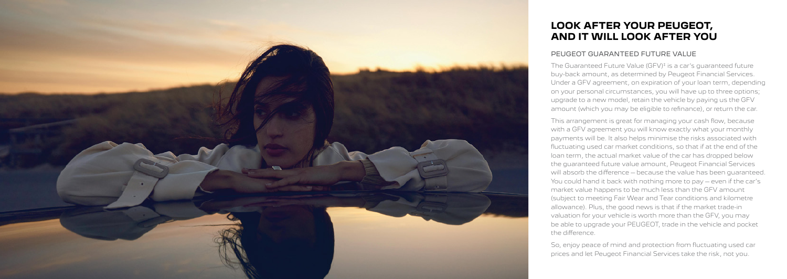# **LOOK AFTER YOUR PEUGEOT, AND IT WILL LOOK AFTER YOU**

# PEUGEOT GUARANTEED FUTURE VALUE

The Guaranteed Future Value (GFV)<sup>#</sup> is a car's guaranteed future buy-back amount, as determined by Peugeot Financial Services. Under a GFV agreement, on expiration of your loan term, depending on your personal circumstances, you will have up to three options; upgrade to a new model, retain the vehicle by paying us the GFV amount (which you may be eligible to refinance), or return the car.

This arrangement is great for managing your cash flow, because with a GFV agreement you will know exactly what your monthly payments will be. It also helps minimise the risks associated with fluctuating used car market conditions, so that if at the end of the loan term, the actual market value of the car has dropped below the guaranteed future value amount, Peugeot Financial Services will absorb the difference – because the value has been guaranteed. You could hand it back with nothing more to pay – even if the car's market value happens to be much less than the GFV amount (subject to meeting Fair Wear and Tear conditions and kilometre allowance). Plus, the good news is that if the market trade-in valuation for your vehicle is worth more than the GFV, you may be able to upgrade your PEUGEOT, trade in the vehicle and pocket



So, enjoy peace of mind and protection from fluctuating used car prices and let Peugeot Financial Services take the risk, not you.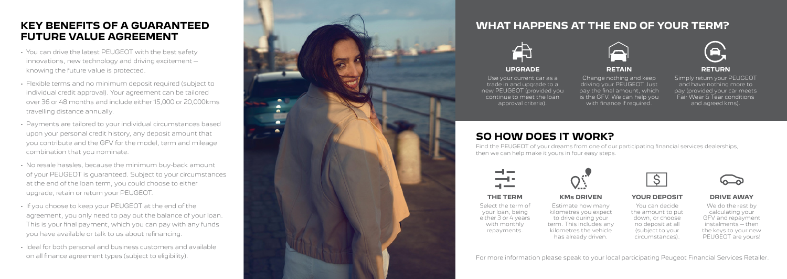# **WHAT HAPPENS AT THE END OF YOUR TERM?**



# **UPGRADE**

Use your current car as a trade in and upgrade to a new PEUGEOT (provided you continue to meet the loan approval criteria).

### **YOUR DEPOSIT**

You can decide the amount to put down, or choose no deposit at all (subject to your circumstances).



**RETAIN**

Change nothing and keep driving your PEUGEOT. Just pay the final amount, which is the GFV. We can help you with finance if required.



# **THE TERM**

Select the term of your loan, being either 3 or 4 years with monthly repayments.



## **RETURN**

Simply return your PEUGEOT and have nothing more to pay (provided your car meets Fair Wear & Tear conditions and agreed kms).



## **KM s DRIVEN**

Estimate how many kilometres you expect to drive during your term. This includes any kilometres the vehicle has already driven.

### **DRIVE AWAY**

We do the rest by calculating your GFV and repayment instalments – then the keys to your new PEUGEOT are yours!

For more information please speak to your local participating Peugeot Financial Services Retailer.



# **KEY BENEFITS OF A GUARANTEED FUTURE VALUE AGREEMENT**

- You can drive the latest PEUGEOT with the best safety innovations, new technology and driving excitement – knowing the future value is protected.
- Flexible terms and no minimum deposit required (subject to individual credit approval). Your agreement can be tailored over 36 or 48 months and include either 15,000 or 20,000kms travelling distance annually.
- Payments are tailored to your individual circumstances based upon your personal credit history, any deposit amount that you contribute and the GFV for the model, term and mileage combination that you nominate.
- No resale hassles, because the minimum buy-back amount of your PEUGEOT is guaranteed. Subject to your circumstances at the end of the loan term, you could choose to either upgrade, retain or return your PEUGEOT.
- If you choose to keep your PEUGEOT at the end of the agreement, you only need to pay out the balance of your loan. This is your final payment, which you can pay with any funds you have available or talk to us about refinancing.
- Ideal for both personal and business customers and available on all finance agreement types (subject to eligibility).



# **SO HOW DOES IT WORK?**

Find the PEUGEOT of your dreams from one of our participating financial services dealerships, then we can help make it yours in four easy steps.

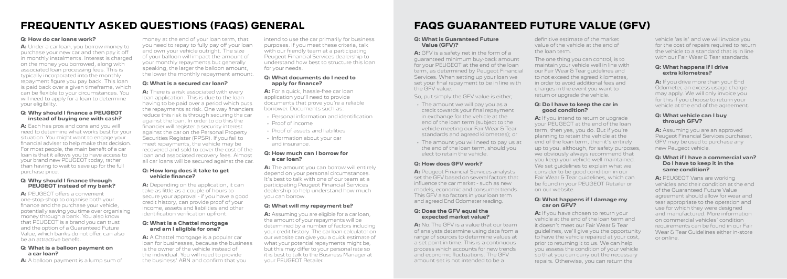### **Q: How do car loans work?**

**A:** Under a car loan, you borrow money to purchase your new car and then pay it off in monthly instalments. Interest is charged on the money you borrowed, along with associated loan processing fees. This is typically incorporated into the monthly repayment figure you pay back. This loan is paid back over a given timeframe, which can be flexible to your circumstances. You will need to apply for a loan to determine your eligibility.

#### **Q: Why should I finance a PEUGEOT instead of buying one with cash?**

**A:** Each has pros and cons and you will need to determine what works best for your situation. You might want to engage your financial adviser to help make that decision. For most people, the main benefit of a car loan is that it allows you to have access to your brand new PEUGEOT today, rather than having to wait to save up for the full purchase price.

#### **Q: Why should I finance through PEUGEOT instead of my bank?**

**A:** PEUGEOT offers a convenient one-stop-shop to organise both your finance and the purchase your vehicle, potentially saving you time over organising money through a bank. You also know that PEUGEOT is a brand you can trust and the option of a Guaranteed Future Value, which banks do not offer, can also be an attractive benefit.

#### **Q: What is a balloon payment on a car loan?**

**A:** A balloon payment is a lump sum of

money at the end of your loan term, that you need to repay to fully pay off your loan and own your vehicle outright. The size of your balloon will impact the amount of your monthly repayments but generally speaking, the larger the balloon amount, the lower the monthly repayment amount.

### **Q: What is a secured car loan?**

**A:** There is a risk associated with every loan application. This is due to the loan having to be paid over a period which puts the repayments at risk. One way financiers reduce this risk is through securing the car against the loan. In order to do this the financier will register a security interest against the car on the Personal Property Securities Register (PPSR). If you fail to meet repayments, the vehicle may be recovered and sold to cover the cost of the loan and associated recovery fees. Almost all car loans will be secured against the car.

#### **Q: How long does it take to get vehicle finance?**

**A:** Depending on the application, it can take as little as a couple of hours to secure your approval - if you have a good credit history, can provide proof of your income, assets and liabilities and other identification verification upfront.

### **Q: What is a Chattel mortgage and am I eligible for one?**

**A:** A Chattel mortgage is a popular car loan for businesses, because the business is the owner of the vehicle instead of the individual. You will need to provide the business' ABN and confirm that you

intend to use the car primarily for business purposes. If you meet these criteria, talk with our friendly team at a participating Peugeot Financial Services dealership to understand how best to structure this loan for your needs.

#### **Q: What documents do I need to apply for finance?**

**A:** For a quick, hassle-free car loan application you'll need to provide documents that prove you're a reliable borrower. Documents such as:

- Personal information and identification
- Proof of income
- Proof of assets and liabilities
- Information about your car and insurance.

#### **Q: How much can I borrow for a car loan?**

**A:** The amount you can borrow will entirely depend on your personal circumstances. It's best to talk with one of our team at a participating Peugeot Financial Services dealership to help understand how much you can borrow.

### **Q: What will my repayment be?**

**A:** Assuming you are eligible for a car loan, the amount of your repayments will be determined by a number of factors including your credit history. The car loan calculator on our website can give you a quick estimate of what your potential repayments might be, but this may differ to your personal rate so it is best to talk to the Business Manager at your PEUGEOT Retailer.

# **FREQUENTLY ASKED QUESTIONS (FAQS) GENERAL FAQS GUARANTEED FUTURE VALUE (GFV)**

#### **Q: What is Guaranteed Future Value (GFV)?**

**A:** GFV is a safety net in the form of a guaranteed minimum buy-back amount for your PEUGEOT at the end of the loan term, as determined by Peugeot Financial Services. When setting up your loan we set your final repayment to be in line with the GFV value.

So, put simply the GFV value is either;

- The amount we will pay you as a credit towards your final repayment in exchange for the vehicle at the end of the loan term (subject to the vehicle meeting our Fair Wear & Tear standards and agreed kilometres); or
- The amount you will need to pay us at the end of the loan term, should you elect to retain the vehicle.

### **Q: How does GFV work?**

**A:** Peugeot Financial Services analysts set the GFV based on several factors that influence the car market - such as new models, economic and consumer trends. This GFV also factors in your loan term and agreed End Odometer reading.

#### **Q: Does the GFV equal the expected market value?**

**A:** No.The GFV is a value that our team of analysts determine using data from a range of sources to determine values at a set point in time. This is a continuous process which accounts for new trends and economic fluctuations. The GFV amount set is not intended to be a

definitive estimate of the market value of the vehicle at the end of the loan term.

The one thing you can control, is to maintain your vehicle well in line with our Fair Wear & Tear guidelines and to not exceed the agreed kilometres, in order to avoid additional fees and charges in the event you want to return or upgrade the vehicle.

#### **Q: Do I have to keep the car in good condition?**

**A:** If you intend to return or upgrade your PEUGEOT at the end of the loan term, then yes, you do. But if you're planning to retain the vehicle at the end of the loan term, then it's entirely up to you, although, for safety purposes, we obviously always recommend that you keep your vehicle well maintained. We set guidelines to explain what we consider to be good condition in our Fair Wear & Tear guidelines, which can be found in your PEUGEOT Retailer or on our website.

#### **Q: What happens if I damage my car on GFV?**

**A:** If you have chosen to return your vehicle at the end of the loan term and it doesn't meet our Fair Wear & Tear guidelines, we'll give you the opportunity to have the vehicle repaired at your cost, prior to returning it to us. We can help you assess the condition of your vehicle so that you can carry out the necessary repairs. Otherwise, you can return the

vehicle 'as is' and we will invoice you for the cost of repairs required to return the vehicle to a standard that is in line with our Fair Wear & Tear standards.

#### **Q: What happens if I drive extra kilometres?**

**A:** If you drive more than your End Odometer, an excess usage charge may apply. We will only invoice you for this if you choose to return your vehicle at the end of the agreement.

#### **Q: What vehicle can I buy through GFV?**

**A:** Assuming you are an approved Peugeot Financial Services purchaser, GFV may be used to purchase any new Peugeot vehicle.

#### **Q: What if I have a commercial van? Do I have to keep it in the same condition?**

**A:** PEUGEOT Vans are working vehicles and their condition at the end of the Guaranteed Future Value agreement should allow for wear and tear appropriate to the operation and use for which they were designed and manufactured. More information on commercial vehicles' condition requirements can be found in our Fair Wear & Tear Guidelines either in-store or online.